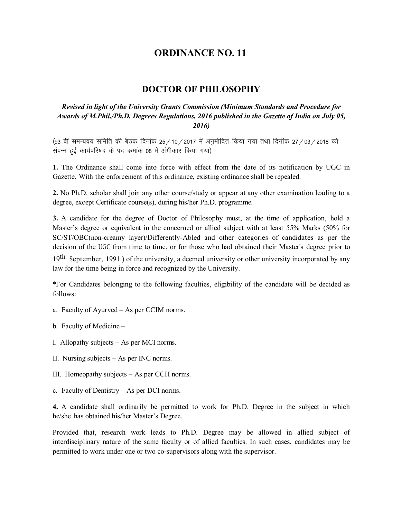# **ORDINANCE NO. 11**

# **DOCTOR OF PHILOSOPHY**

## *Revised in light of the University Grants Commission (Minimum Standards and Procedure for Awards of M.Phil./Ph.D. Degrees Regulations, 2016 published in the Gazette of India on July 05, 2016)*

(93 वीं समन्यवय समिति की बैठक दिनांक 25/10/2017 में अनुमोदित किया गया तथा दिनॉक 27/03/2018 को संपन्न हुई कार्यपरिषद के पद कमांक 08 में अंगीकार किया गया)

**1.** The Ordinance shall come into force with effect from the date of its notification by UGC in Gazette. With the enforcement of this ordinance, existing ordinance shall be repealed.

**2.** No Ph.D. scholar shall join any other course/study or appear at any other examination leading to a degree, except Certificate course(s), during his/her Ph.D. programme.

**3.** A candidate for the degree of Doctor of Philosophy must, at the time of application, hold a Master's degree or equivalent in the concerned or allied subject with at least 55% Marks (50% for SC/ST/OBC(non-creamy layer)/Differently-Abled and other categories of candidates as per the decision of the UGC from time to time, or for those who had obtained their Master's degree prior to

19<sup>th</sup> September, 1991.) of the university, a deemed university or other university incorporated by any law for the time being in force and recognized by the University.

\*For Candidates belonging to the following faculties, eligibility of the candidate will be decided as follows:

- a. Faculty of Ayurved As per CCIM norms.
- b. Faculty of Medicine –
- I. Allopathy subjects As per MCI norms.
- II. Nursing subjects As per INC norms.
- III. Homeopathy subjects As per CCH norms.
- c. Faculty of Dentistry As per DCI norms.

**4.** A candidate shall ordinarily be permitted to work for Ph.D. Degree in the subject in which he/she has obtained his/her Master's Degree.

Provided that, research work leads to Ph.D. Degree may be allowed in allied subject of interdisciplinary nature of the same faculty or of allied faculties. In such cases, candidates may be permitted to work under one or two co-supervisors along with the supervisor.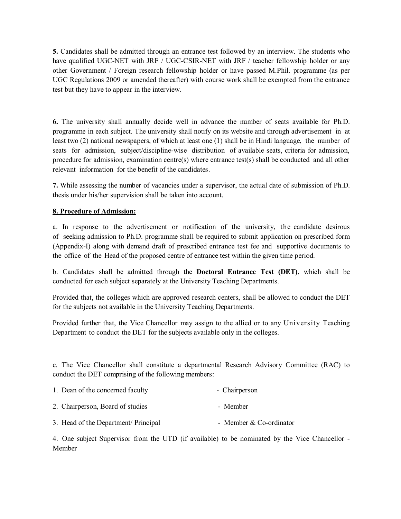**5.** Candidates shall be admitted through an entrance test followed by an interview. The students who have qualified UGC-NET with JRF / UGC-CSIR-NET with JRF / teacher fellowship holder or any other Government / Foreign research fellowship holder or have passed M.Phil. programme (as per UGC Regulations 2009 or amended thereafter) with course work shall be exempted from the entrance test but they have to appear in the interview.

**6.** The university shall annually decide well in advance the number of seats available for Ph.D. programme in each subject. The university shall notify on its website and through advertisement in at least two (2) national newspapers, of which at least one (1) shall be in Hindi language, the number of seats for admission, subject/discipline-wise distribution of available seats, criteria for admission, procedure for admission, examination centre(s) where entrance test(s) shall be conducted and all other relevant information for the benefit of the candidates.

**7.** While assessing the number of vacancies under a supervisor, the actual date of submission of Ph.D. thesis under his/her supervision shall be taken into account.

## **8. Procedure of Admission:**

a. In response to the advertisement or notification of the university, the candidate desirous of seeking admission to Ph.D. programme shall be required to submit application on prescribed form (Appendix-I) along with demand draft of prescribed entrance test fee and supportive documents to the office of the Head of the proposed centre of entrance test within the given time period.

b. Candidates shall be admitted through the **Doctoral Entrance Test (DET)**, which shall be conducted for each subject separately at the University Teaching Departments.

Provided that, the colleges which are approved research centers, shall be allowed to conduct the DET for the subjects not available in the University Teaching Departments.

Provided further that, the Vice Chancellor may assign to the allied or to any University Teaching Department to conduct the DET for the subjects available only in the colleges.

c. The Vice Chancellor shall constitute a departmental Research Advisory Committee (RAC) to conduct the DET comprising of the following members:

| 1. Dean of the concerned faculty | - Chairperson |
|----------------------------------|---------------|
|                                  |               |

- 2. Chairperson, Board of studies Member
- 3. Head of the Department/ Principal Member & Co-ordinator

4. One subject Supervisor from the UTD (if available) to be nominated by the Vice Chancellor - Member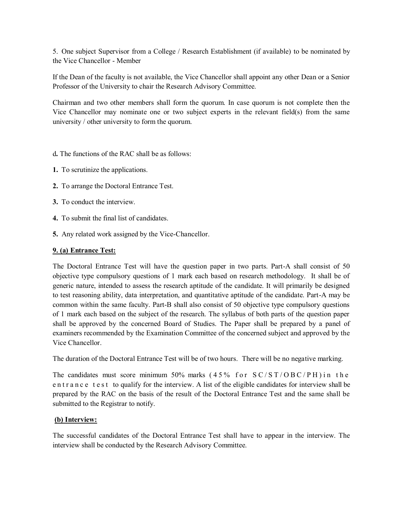5. One subject Supervisor from a College / Research Establishment (if available) to be nominated by the Vice Chancellor - Member

If the Dean of the faculty is not available, the Vice Chancellor shall appoint any other Dean or a Senior Professor of the University to chair the Research Advisory Committee.

Chairman and two other members shall form the quorum. In case quorum is not complete then the Vice Chancellor may nominate one or two subject experts in the relevant field(s) from the same university / other university to form the quorum.

- d**.** The functions of the RAC shall be as follows:
- **1.** To scrutinize the applications.
- **2.** To arrange the Doctoral Entrance Test.
- **3.** To conduct the interview.
- **4.** To submit the final list of candidates.
- **5.** Any related work assigned by the Vice-Chancellor.

#### **9. (a) Entrance Test:**

The Doctoral Entrance Test will have the question paper in two parts. Part-A shall consist of 50 objective type compulsory questions of 1 mark each based on research methodology. It shall be of generic nature, intended to assess the research aptitude of the candidate. It will primarily be designed to test reasoning ability, data interpretation, and quantitative aptitude of the candidate. Part-A may be common within the same faculty. Part-B shall also consist of 50 objective type compulsory questions of 1 mark each based on the subject of the research. The syllabus of both parts of the question paper shall be approved by the concerned Board of Studies. The Paper shall be prepared by a panel of examiners recommended by the Examination Committee of the concerned subject and approved by the Vice Chancellor.

The duration of the Doctoral Entrance Test will be of two hours. There will be no negative marking.

The candidates must score minimum 50% marks  $(45\% \text{ for } SC/ST/OBC/PH)$  in the en t r a n c e t e s t to qualify for the interview. A list of the eligible candidates for interview shall be prepared by the RAC on the basis of the result of the Doctoral Entrance Test and the same shall be submitted to the Registrar to notify.

#### **(b) Interview:**

The successful candidates of the Doctoral Entrance Test shall have to appear in the interview. The interview shall be conducted by the Research Advisory Committee.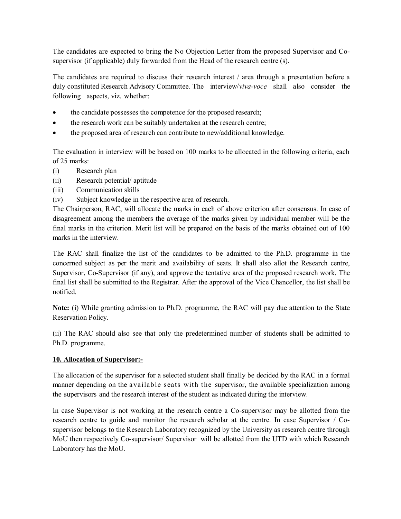The candidates are expected to bring the No Objection Letter from the proposed Supervisor and Cosupervisor (if applicable) duly forwarded from the Head of the research centre (s).

The candidates are required to discuss their research interest / area through a presentation before a duly constituted Research Advisory Committee. The interview/*viva-voce* shall also consider the following aspects, viz. whether:

- the candidate possesses the competence for the proposed research;
- the research work can be suitably undertaken at the research centre;
- the proposed area of research can contribute to new/additional knowledge.

The evaluation in interview will be based on 100 marks to be allocated in the following criteria, each of 25 marks:

- (i) Research plan
- (ii) Research potential/ aptitude
- (iii) Communication skills
- (iv) Subject knowledge in the respective area of research.

The Chairperson, RAC, will allocate the marks in each of above criterion after consensus. In case of disagreement among the members the average of the marks given by individual member will be the final marks in the criterion. Merit list will be prepared on the basis of the marks obtained out of 100 marks in the interview.

The RAC shall finalize the list of the candidates to be admitted to the Ph.D. programme in the concerned subject as per the merit and availability of seats. It shall also allot the Research centre, Supervisor, Co-Supervisor (if any), and approve the tentative area of the proposed research work. The final list shall be submitted to the Registrar. After the approval of the Vice Chancellor, the list shall be notified.

**Note:** (i) While granting admission to Ph.D. programme, the RAC will pay due attention to the State Reservation Policy.

(ii) The RAC should also see that only the predetermined number of students shall be admitted to Ph.D. programme.

# **10. Allocation of Supervisor:-**

The allocation of the supervisor for a selected student shall finally be decided by the RAC in a formal manner depending on the available seats with the supervisor, the available specialization among the supervisors and the research interest of the student as indicated during the interview.

In case Supervisor is not working at the research centre a Co-supervisor may be allotted from the research centre to guide and monitor the research scholar at the centre. In case Supervisor / Cosupervisor belongs to the Research Laboratory recognized by the University as research centre through MoU then respectively Co-supervisor/ Supervisor will be allotted from the UTD with which Research Laboratory has the MoU.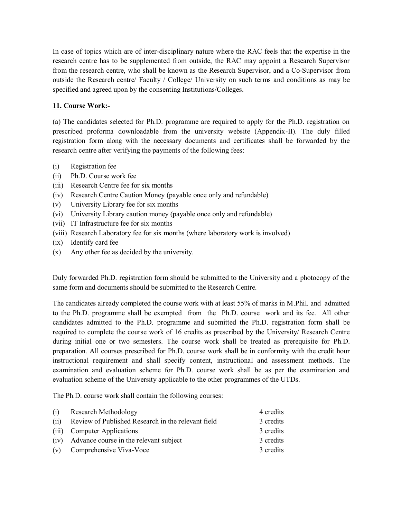In case of topics which are of inter-disciplinary nature where the RAC feels that the expertise in the research centre has to be supplemented from outside, the RAC may appoint a Research Supervisor from the research centre, who shall be known as the Research Supervisor, and a Co-Supervisor from outside the Research centre/ Faculty / College/ University on such terms and conditions as may be specified and agreed upon by the consenting Institutions/Colleges.

## **11. Course Work:-**

(a) The candidates selected for Ph.D. programme are required to apply for the Ph.D. registration on prescribed proforma downloadable from the university website (Appendix-II). The duly filled registration form along with the necessary documents and certificates shall be forwarded by the research centre after verifying the payments of the following fees:

- (i) Registration fee
- (ii) Ph.D. Course work fee
- (iii) Research Centre fee for six months
- (iv) Research Centre Caution Money (payable once only and refundable)
- (v) University Library fee for six months
- (vi) University Library caution money (payable once only and refundable)
- (vii) IT Infrastructure fee for six months
- (viii) Research Laboratory fee for six months (where laboratory work is involved)
- (ix) Identify card fee
- (x) Any other fee as decided by the university.

Duly forwarded Ph.D. registration form should be submitted to the University and a photocopy of the same form and documents should be submitted to the Research Centre.

The candidates already completed the course work with at least 55% of marks in M.Phil. and admitted to the Ph.D. programme shall be exempted from the Ph.D. course work and its fee. All other candidates admitted to the Ph.D. programme and submitted the Ph.D. registration form shall be required to complete the course work of 16 credits as prescribed by the University/ Research Centre during initial one or two semesters. The course work shall be treated as prerequisite for Ph.D. preparation. All courses prescribed for Ph.D. course work shall be in conformity with the credit hour instructional requirement and shall specify content, instructional and assessment methods. The examination and evaluation scheme for Ph.D. course work shall be as per the examination and evaluation scheme of the University applicable to the other programmes of the UTDs.

The Ph.D. course work shall contain the following courses:

| (i)  | Research Methodology                               | 4 credits |
|------|----------------------------------------------------|-----------|
| (ii) | Review of Published Research in the relevant field | 3 credits |
|      | (iii) Computer Applications                        | 3 credits |
|      | (iv) Advance course in the relevant subject        | 3 credits |
|      | (v) Comprehensive Viva-Voce                        | 3 credits |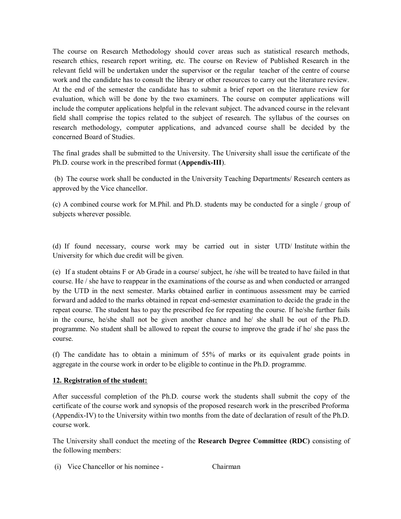The course on Research Methodology should cover areas such as statistical research methods, research ethics, research report writing, etc. The course on Review of Published Research in the relevant field will be undertaken under the supervisor or the regular teacher of the centre of course work and the candidate has to consult the library or other resources to carry out the literature review. At the end of the semester the candidate has to submit a brief report on the literature review for evaluation, which will be done by the two examiners. The course on computer applications will include the computer applications helpful in the relevant subject. The advanced course in the relevant field shall comprise the topics related to the subject of research. The syllabus of the courses on research methodology, computer applications, and advanced course shall be decided by the concerned Board of Studies.

The final grades shall be submitted to the University. The University shall issue the certificate of the Ph.D. course work in the prescribed format (**Appendix-III**).

(b) The course work shall be conducted in the University Teaching Departments/ Research centers as approved by the Vice chancellor.

(c) A combined course work for M.Phil. and Ph.D. students may be conducted for a single / group of subjects wherever possible.

(d) If found necessary, course work may be carried out in sister UTD/ Institute within the University for which due credit will be given.

(e) If a student obtains F or Ab Grade in a course/ subject, he /she will be treated to have failed in that course. He / she have to reappear in the examinations of the course as and when conducted or arranged by the UTD in the next semester. Marks obtained earlier in continuous assessment may be carried forward and added to the marks obtained in repeat end-semester examination to decide the grade in the repeat course. The student has to pay the prescribed fee for repeating the course. If he/she further fails in the course, he/she shall not be given another chance and he/ she shall be out of the Ph.D. programme. No student shall be allowed to repeat the course to improve the grade if he/ she pass the course.

(f) The candidate has to obtain a minimum of 55% of marks or its equivalent grade points in aggregate in the course work in order to be eligible to continue in the Ph.D. programme.

#### **12. Registration of the student:**

After successful completion of the Ph.D. course work the students shall submit the copy of the certificate of the course work and synopsis of the proposed research work in the prescribed Proforma (Appendix-IV) to the University within two months from the date of declaration of result of the Ph.D. course work.

The University shall conduct the meeting of the **Research Degree Committee (RDC)** consisting of the following members:

(i) Vice Chancellor or his nominee - Chairman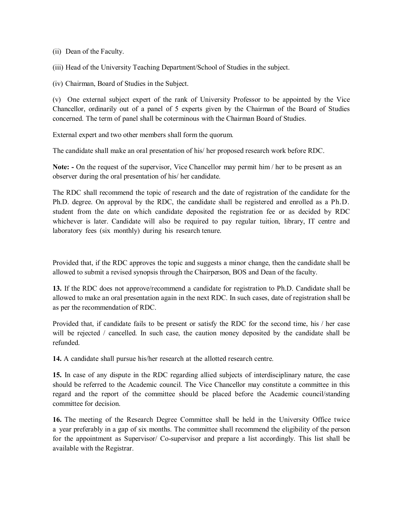(ii) Dean of the Faculty.

(iii) Head of the University Teaching Department/School of Studies in the subject.

(iv) Chairman, Board of Studies in the Subject.

(v) One external subject expert of the rank of University Professor to be appointed by the Vice Chancellor, ordinarily out of a panel of 5 experts given by the Chairman of the Board of Studies concerned. The term of panel shall be coterminous with the Chairman Board of Studies.

External expert and two other members shall form the quorum.

The candidate shall make an oral presentation of his/ her proposed research work before RDC.

**Note: -** On the request of the supervisor, Vice Chancellor may permit him / her to be present as an observer during the oral presentation of his/ her candidate.

The RDC shall recommend the topic of research and the date of registration of the candidate for the Ph.D. degree. On approval by the RDC, the candidate shall be registered and enrolled as a Ph.D. student from the date on which candidate deposited the registration fee or as decided by RDC whichever is later. Candidate will also be required to pay regular tuition, library, IT centre and laboratory fees (six monthly) during his research tenure.

Provided that, if the RDC approves the topic and suggests a minor change, then the candidate shall be allowed to submit a revised synopsis through the Chairperson, BOS and Dean of the faculty.

**13.** If the RDC does not approve/recommend a candidate for registration to Ph.D. Candidate shall be allowed to make an oral presentation again in the next RDC. In such cases, date of registration shall be as per the recommendation of RDC.

Provided that, if candidate fails to be present or satisfy the RDC for the second time, his / her case will be rejected / cancelled. In such case, the caution money deposited by the candidate shall be refunded.

**14.** A candidate shall pursue his/her research at the allotted research centre.

**15.** In case of any dispute in the RDC regarding allied subjects of interdisciplinary nature, the case should be referred to the Academic council. The Vice Chancellor may constitute a committee in this regard and the report of the committee should be placed before the Academic council/standing committee for decision.

**16.** The meeting of the Research Degree Committee shall be held in the University Office twice a year preferably in a gap of six months. The committee shall recommend the eligibility of the person for the appointment as Supervisor/ Co-supervisor and prepare a list accordingly. This list shall be available with the Registrar.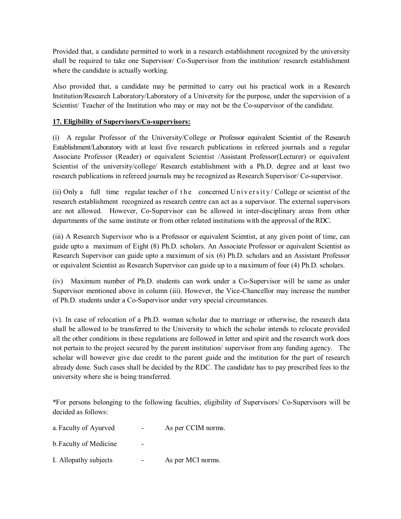Provided that, a candidate permitted to work in a research establishment recognized by the university shall be required to take one Supervisor/ Co-Supervisor from the institution/ research establishment where the candidate is actually working.

Also provided that, a candidate may be permitted to carry out his practical work in a Research Institution/Research Laboratory/Laboratory of a University for the purpose, under the supervision of a Scientist/ Teacher of the Institution who may or may not be the Co-supervisor of the candidate.

## **17. Eligibility of Supervisors/Co-supervisors:**

(i) A regular Professor of the University/College or Professor equivalent Scientist of the Research Establishment/Laboratory with at least five research publications in refereed journals and a regular Associate Professor (Reader) or equivalent Scientist /Assistant Professor(Lecturer) or equivalent Scientist of the university/college/ Research establishment with a Ph.D. degree and at least two research publications in refereed journals may be recognized as Research Supervisor/ Co-supervisor.

(ii) Only a full time regular teacher of the concerned University/College or scientist of the research establishment recognized as research centre can act as a supervisor. The external supervisors are not allowed. However, Co-Supervisor can be allowed in inter-disciplinary areas from other departments of the same institute or from other related institutions with the approval of the RDC.

(iii) A Research Supervisor who is a Professor or equivalent Scientist, at any given point of time, can guide upto a maximum of Eight (8) Ph.D. scholars. An Associate Professor or equivalent Scientist as Research Supervisor can guide upto a maximum of six (6) Ph.D. scholars and an Assistant Professor or equivalent Scientist as Research Supervisor can guide up to a maximum of four (4) Ph.D. scholars.

(iv) Maximum number of Ph.D. students can work under a Co-Supervisor will be same as under Supervisor mentioned above in column (iii). However, the Vice-Chancellor may increase the number of Ph.D. students under a Co-Supervisor under very special circumstances.

(v). In case of relocation of a Ph.D. woman scholar due to marriage or otherwise, the research data shall be allowed to be transferred to the University to which the scholar intends to relocate provided all the other conditions in these regulations are followed in letter and spirit and the research work does not pertain to the project secured by the parent institution/ supervisor from any funding agency. The scholar will however give due credit to the parent guide and the institution for the part of research already done. Such cases shall be decided by the RDC. The candidate has to pay prescribed fees to the university where she is being transferred.

\*For persons belonging to the following faculties, eligibility of Supervisors/ Co-Supervisors will be decided as follows:

| a. Faculty of Ayurved  | $\overline{\phantom{0}}$     | As per CCIM norms. |
|------------------------|------------------------------|--------------------|
| b. Faculty of Medicine | -                            |                    |
| I. Allopathy subjects  | $\qquad \qquad \blacksquare$ | As per MCI norms.  |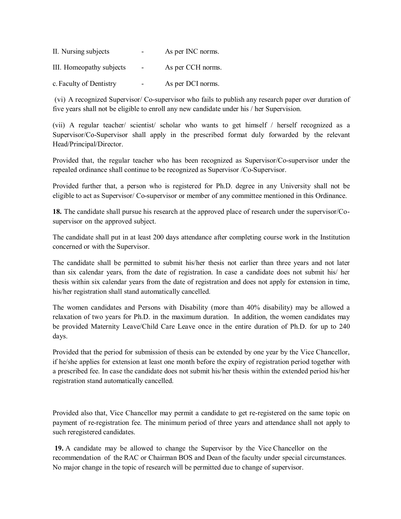| II. Nursing subjects     | $\sim$         | As per INC norms. |
|--------------------------|----------------|-------------------|
| III. Homeopathy subjects | $\overline{a}$ | As per CCH norms. |
| c. Faculty of Dentistry  |                | As per DCI norms. |

(vi) A recognized Supervisor/ Co-supervisor who fails to publish any research paper over duration of five years shall not be eligible to enroll any new candidate under his / her Supervision.

(vii) A regular teacher/ scientist/ scholar who wants to get himself / herself recognized as a Supervisor/Co-Supervisor shall apply in the prescribed format duly forwarded by the relevant Head/Principal/Director.

Provided that, the regular teacher who has been recognized as Supervisor/Co-supervisor under the repealed ordinance shall continue to be recognized as Supervisor /Co-Supervisor.

Provided further that, a person who is registered for Ph.D. degree in any University shall not be eligible to act as Supervisor/ Co-supervisor or member of any committee mentioned in this Ordinance.

**18.** The candidate shall pursue his research at the approved place of research under the supervisor/Cosupervisor on the approved subject.

The candidate shall put in at least 200 days attendance after completing course work in the Institution concerned or with the Supervisor.

The candidate shall be permitted to submit his/her thesis not earlier than three years and not later than six calendar years, from the date of registration. In case a candidate does not submit his/ her thesis within six calendar years from the date of registration and does not apply for extension in time, his/her registration shall stand automatically cancelled.

The women candidates and Persons with Disability (more than 40% disability) may be allowed a relaxation of two years for Ph.D. in the maximum duration. In addition, the women candidates may be provided Maternity Leave/Child Care Leave once in the entire duration of Ph.D. for up to 240 days.

Provided that the period for submission of thesis can be extended by one year by the Vice Chancellor, if he/she applies for extension at least one month before the expiry of registration period together with a prescribed fee. In case the candidate does not submit his/her thesis within the extended period his/her registration stand automatically cancelled.

Provided also that, Vice Chancellor may permit a candidate to get re-registered on the same topic on payment of re-registration fee. The minimum period of three years and attendance shall not apply to such reregistered candidates.

**19.** A candidate may be allowed to change the Supervisor by the Vice Chancellor on the recommendation of the RAC or Chairman BOS and Dean of the faculty under special circumstances. No major change in the topic of research will be permitted due to change of supervisor.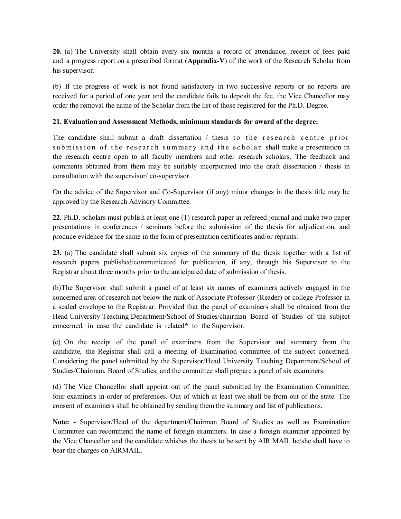**20.** (a) The University shall obtain every six months a record of attendance, receipt of fees paid and a progress report on a prescribed format (**Appendix-V**) of the work of the Research Scholar from his supervisor.

(b) If the progress of work is not found satisfactory in two successive reports or no reports are received for a period of one year and the candidate fails to deposit the fee, the Vice Chancellor may order the removal the name of the Scholar from the list of those registered for the Ph.D. Degree.

#### **21. Evaluation and Assessment Methods, minimum standards for award of the degree:**

The candidate shall submit a draft dissertation  $/$  thesis to the research centre prior sub m is sion of the research summary and the scholar shall make a presentation in the research centre open to all faculty members and other research scholars. The feedback and comments obtained from them may be suitably incorporated into the draft dissertation / thesis in consultation with the supervisor/ co-supervisor.

On the advice of the Supervisor and Co-Supervisor (if any) minor changes in the thesis title may be approved by the Research Advisory Committee.

**22.** Ph.D. scholars must publish at least one (1) research paper in refereed journal and make two paper presentations in conferences / seminars before the submission of the thesis for adjudication, and produce evidence for the same in the form of presentation certificates and/or reprints.

**23.** (a) The candidate shall submit six copies of the summary of the thesis together with a list of research papers published/communicated for publication, if any, through his Supervisor to the Registrar about three months prior to the anticipated date of submission of thesis.

(b)The Supervisor shall submit a panel of at least six names of examiners actively engaged in the concerned area of research not below the rank of Associate Professor (Reader) or college Professor in a sealed envelope to the Registrar. Provided that the panel of examiners shall be obtained from the Head University Teaching Department/School of Studies/chairman Board of Studies of the subject concerned, in case the candidate is related**\*** to the Supervisor.

(c) On the receipt of the panel of examiners from the Supervisor and summary from the candidate, the Registrar shall call a meeting of Examination committee of the subject concerned. Considering the panel submitted by the Supervisor/Head University Teaching Department/School of Studies/Chairman, Board of Studies, and the committee shall prepare a panel of six examiners.

(d) The Vice Chancellor shall appoint out of the panel submitted by the Examination Committee, four examiners in order of preferences. Out of which at least two shall be from out of the state. The consent of examiners shall be obtained by sending them the summary and list of publications.

**Note: -** Supervisor/Head of the department/Chairman Board of Studies as well as Examination Committee can recommend the name of foreign examiners. In case a foreign examiner appointed by the Vice Chancellor and the candidate whishes the thesis to be sent by AIR MAIL he/she shall have to bear the charges on AIRMAIL.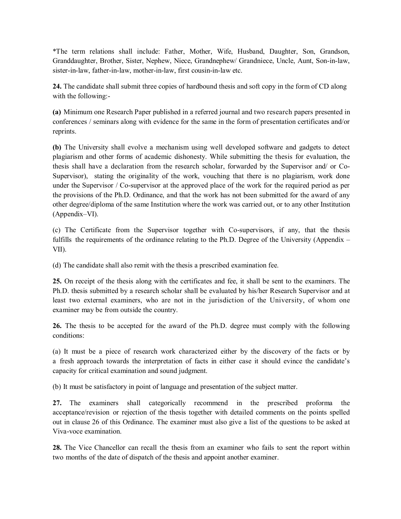\*The term relations shall include: Father, Mother, Wife, Husband, Daughter, Son, Grandson, Granddaughter, Brother, Sister, Nephew, Niece, Grandnephew/ Grandniece, Uncle, Aunt, Son-in-law, sister-in-law, father-in-law, mother-in-law, first cousin-in-law etc.

**24.** The candidate shall submit three copies of hardbound thesis and soft copy in the form of CD along with the following:-

**(a)** Minimum one Research Paper published in a referred journal and two research papers presented in conferences / seminars along with evidence for the same in the form of presentation certificates and/or reprints.

**(b)** The University shall evolve a mechanism using well developed software and gadgets to detect plagiarism and other forms of academic dishonesty. While submitting the thesis for evaluation, the thesis shall have a declaration from the research scholar, forwarded by the Supervisor and/ or Co-Supervisor), stating the originality of the work, vouching that there is no plagiarism, work done under the Supervisor / Co-supervisor at the approved place of the work for the required period as per the provisions of the Ph.D. Ordinance, and that the work has not been submitted for the award of any other degree/diploma of the same Institution where the work was carried out, or to any other Institution (Appendix–VI).

(c) The Certificate from the Supervisor together with Co-supervisors, if any, that the thesis fulfills the requirements of the ordinance relating to the Ph.D. Degree of the University (Appendix – VII).

(d) The candidate shall also remit with the thesis a prescribed examination fee.

**25.** On receipt of the thesis along with the certificates and fee, it shall be sent to the examiners. The Ph.D. thesis submitted by a research scholar shall be evaluated by his/her Research Supervisor and at least two external examiners, who are not in the jurisdiction of the University, of whom one examiner may be from outside the country.

**26.** The thesis to be accepted for the award of the Ph.D. degree must comply with the following conditions:

(a) It must be a piece of research work characterized either by the discovery of the facts or by a fresh approach towards the interpretation of facts in either case it should evince the candidate's capacity for critical examination and sound judgment.

(b) It must be satisfactory in point of language and presentation of the subject matter.

**27.** The examiners shall categorically recommend in the prescribed proforma the acceptance/revision or rejection of the thesis together with detailed comments on the points spelled out in clause 26 of this Ordinance. The examiner must also give a list of the questions to be asked at Viva-voce examination.

**28.** The Vice Chancellor can recall the thesis from an examiner who fails to sent the report within two months of the date of dispatch of the thesis and appoint another examiner.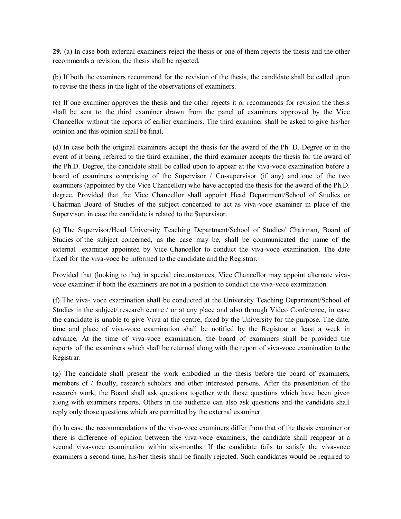**29.** (a) In case both external examiners reject the thesis or one of them rejects the thesis and the other recommends a revision, the thesis shall be rejected.

(b) If both the examiners recommend for the revision of the thesis, the candidate shall be called upon to revise the thesis in the light of the observations of examiners.

(c) If one examiner approves the thesis and the other rejects it or recommends for revision the thesis shall be sent to the third examiner drawn from the panel of examiners approved by the Vice Chancellor without the reports of earlier examiners. The third examiner shall be asked to give his/her opinion and this opinion shall be final.

(d) In case both the original examiners accept the thesis for the award of the Ph. D. Degree or in the event of it being referred to the third examiner, the third examiner accepts the thesis for the award of the Ph.D. Degree, the candidate shall be called upon to appear at the viva-voce examination before a board of examiners comprising of the Supervisor / Co-supervisor (if any) and one of the two examiners (appointed by the Vice Chancellor) who have accepted the thesis for the award of the Ph.D. degree. Provided that the Vice Chancellor shall appoint Head Department/School of Studies or Chairman Board of Studies of the subject concerned to act as viva-voce examiner in place of the Supervisor, in case the candidate is related to the Supervisor.

(e) The Supervisor/Head University Teaching Department/School of Studies/ Chairman, Board of Studies of the subject concerned, as the case may be, shall be communicated the name of the external examiner appointed by Vice Chancellor to conduct the viva-voce examination. The date fixed for the viva-voce be informed to the candidate and the Registrar.

Provided that (looking to the) in special circumstances, Vice Chancellor may appoint alternate vivavoce examiner if both the examiners are not in a position to conduct the viva-voce examination.

(f) The viva- voce examination shall be conducted at the University Teaching Department/School of Studies in the subject/ research centre / or at any place and also through Video Conference, in case the candidate is unable to give Viva at the centre, fixed by the University for the purpose. The date, time and place of viva-voce examination shall be notified by the Registrar at least a week in advance. At the time of viva-voce examination, the board of examiners shall be provided the reports of the examiners which shall be returned along with the report of viva-voce examination to the Registrar.

(g) The candidate shall present the work embodied in the thesis before the board of examiners, members of / faculty, research scholars and other interested persons. After the presentation of the research work, the Board shall ask questions together with those questions which have been given along with examiners reports. Others in the audience can also ask questions and the candidate shall reply only those questions which are permitted by the external examiner.

(h) In case the recommendations of the vivo-voce examiners differ from that of the thesis examiner or there is difference of opinion between the viva-voce examiners, the candidate shall reappear at a second viva-voce examination within six-months. If the candidate fails to satisfy the viva-voce examiners a second time, his/her thesis shall be finally rejected. Such candidates would be required to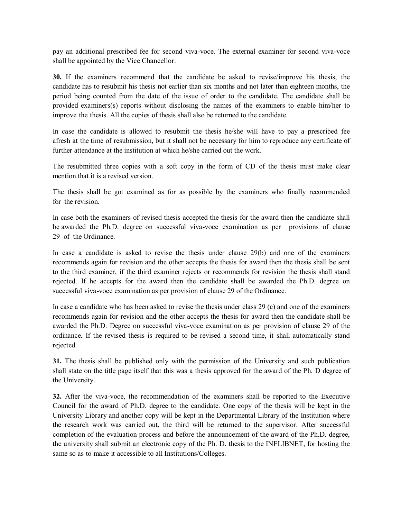pay an additional prescribed fee for second viva-voce. The external examiner for second viva-voce shall be appointed by the Vice Chancellor.

**30.** If the examiners recommend that the candidate be asked to revise/improve his thesis, the candidate has to resubmit his thesis not earlier than six months and not later than eighteen months, the period being counted from the date of the issue of order to the candidate. The candidate shall be provided examiners(s) reports without disclosing the names of the examiners to enable him/her to improve the thesis. All the copies of thesis shall also be returned to the candidate.

In case the candidate is allowed to resubmit the thesis he/she will have to pay a prescribed fee afresh at the time of resubmission, but it shall not be necessary for him to reproduce any certificate of further attendance at the institution at which he/she carried out the work.

The resubmitted three copies with a soft copy in the form of CD of the thesis must make clear mention that it is a revised version.

The thesis shall be got examined as for as possible by the examiners who finally recommended for the revision.

In case both the examiners of revised thesis accepted the thesis for the award then the candidate shall be awarded the Ph.D. degree on successful viva-voce examination as per provisions of clause 29 of the Ordinance.

In case a candidate is asked to revise the thesis under clause 29(b) and one of the examiners recommends again for revision and the other accepts the thesis for award then the thesis shall be sent to the third examiner, if the third examiner rejects or recommends for revision the thesis shall stand rejected. If he accepts for the award then the candidate shall be awarded the Ph.D. degree on successful viva-voce examination as per provision of clause 29 of the Ordinance.

In case a candidate who has been asked to revise the thesis under class 29 (c) and one of the examiners recommends again for revision and the other accepts the thesis for award then the candidate shall be awarded the Ph.D. Degree on successful viva-voce examination as per provision of clause 29 of the ordinance. If the revised thesis is required to be revised a second time, it shall automatically stand rejected.

**31.** The thesis shall be published only with the permission of the University and such publication shall state on the title page itself that this was a thesis approved for the award of the Ph. D degree of the University.

**32.** After the viva-voce, the recommendation of the examiners shall be reported to the Executive Council for the award of Ph.D. degree to the candidate. One copy of the thesis will be kept in the University Library and another copy will be kept in the Departmental Library of the Institution where the research work was carried out, the third will be returned to the supervisor. After successful completion of the evaluation process and before the announcement of the award of the Ph.D. degree, the university shall submit an electronic copy of the Ph. D. thesis to the INFLIBNET, for hosting the same so as to make it accessible to all Institutions/Colleges.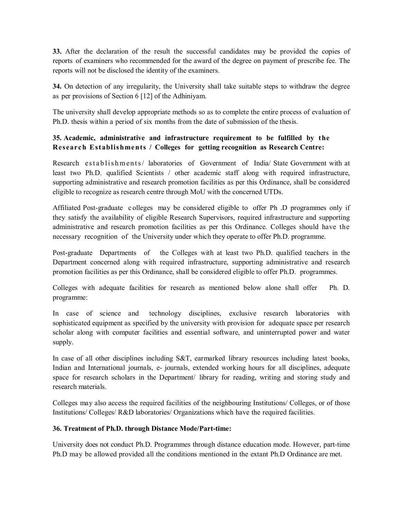**33.** After the declaration of the result the successful candidates may be provided the copies of reports of examiners who recommended for the award of the degree on payment of prescribe fee. The reports will not be disclosed the identity of the examiners.

**34.** On detection of any irregularity, the University shall take suitable steps to withdraw the degree as per provisions of Section 6 [12] of the Adhiniyam.

The university shall develop appropriate methods so as to complete the entire process of evaluation of Ph.D. thesis within a period of six months from the date of submission of the thesis.

# **35. Academic, administrative and infrastructure requirement to be fulfilled by the Research Establis hments / Colleges for getting recognition as Research Centre:**

Research establishments/ laboratories of Government of India/ State Government with at least two Ph.D. qualified Scientists / other academic staff along with required infrastructure, supporting administrative and research promotion facilities as per this Ordinance, shall be considered eligible to recognize as research centre through MoU with the concerned UTDs.

Affiliated Post-graduate c olleges may be considered eligible to offer Ph .D programmes only if they satisfy the availability of eligible Research Supervisors, required infrastructure and supporting administrative and research promotion facilities as per this Ordinance. Colleges should have the necessary recognition of the University under which they operate to offer Ph.D. programme.

Post-graduate Departments of the Colleges with at least two Ph.D. qualified teachers in the Department concerned along with required infrastructure, supporting administrative and research promotion facilities as per this Ordinance, shall be considered eligible to offer Ph.D. programmes.

Colleges with adequate facilities for research as mentioned below alone shall offer Ph. D. programme:

In case of science and technology disciplines, exclusive research laboratories with sophisticated equipment as specified by the university with provision for adequate space per research scholar along with computer facilities and essential software, and uninterrupted power and water supply.

In case of all other disciplines including S&T, earmarked library resources including latest books, Indian and International journals, e- journals, extended working hours for all disciplines, adequate space for research scholars in the Department/ library for reading, writing and storing study and research materials.

Colleges may also access the required facilities of the neighbouring Institutions/ Colleges, or of those Institutions/ Colleges/ R&D laboratories/ Organizations which have the required facilities.

#### **36. Treatment of Ph.D. through Distance Mode/Part-time:**

University does not conduct Ph.D. Programmes through distance education mode. However, part-time Ph.D may be allowed provided all the conditions mentioned in the extant Ph.D Ordinance are met.